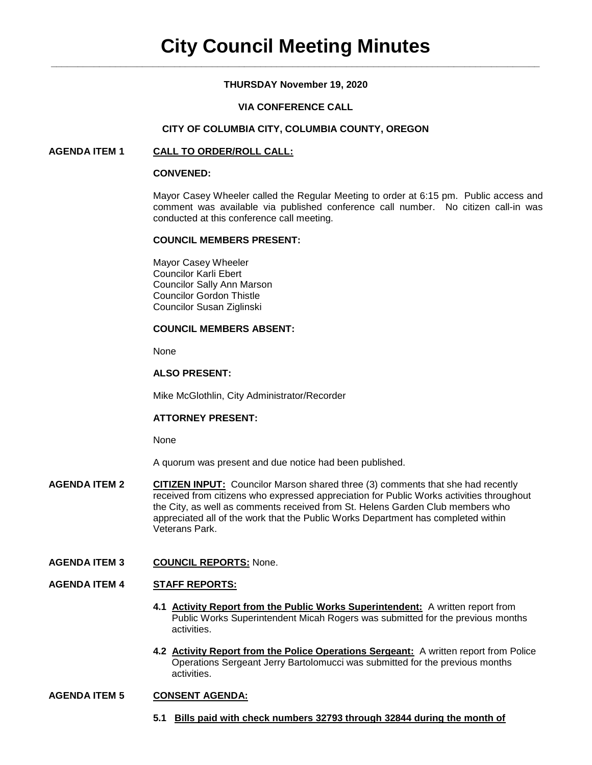# **THURSDAY November 19, 2020**

# **VIA CONFERENCE CALL**

#### **CITY OF COLUMBIA CITY, COLUMBIA COUNTY, OREGON**

# **AGENDA ITEM 1 CALL TO ORDER/ROLL CALL:**

#### **CONVENED:**

Mayor Casey Wheeler called the Regular Meeting to order at 6:15 pm. Public access and comment was available via published conference call number. No citizen call-in was conducted at this conference call meeting.

#### **COUNCIL MEMBERS PRESENT:**

Mayor Casey Wheeler Councilor Karli Ebert Councilor Sally Ann Marson Councilor Gordon Thistle Councilor Susan Ziglinski

# **COUNCIL MEMBERS ABSENT:**

None

# **ALSO PRESENT:**

Mike McGlothlin, City Administrator/Recorder

#### **ATTORNEY PRESENT:**

None

A quorum was present and due notice had been published.

**AGENDA ITEM 2 CITIZEN INPUT:** Councilor Marson shared three (3) comments that she had recently received from citizens who expressed appreciation for Public Works activities throughout the City, as well as comments received from St. Helens Garden Club members who appreciated all of the work that the Public Works Department has completed within Veterans Park.

### **AGENDA ITEM 3 COUNCIL REPORTS:** None.

### **AGENDA ITEM 4 STAFF REPORTS:**

- **4.1 Activity Report from the Public Works Superintendent:** A written report from Public Works Superintendent Micah Rogers was submitted for the previous months activities.
- **4.2 Activity Report from the Police Operations Sergeant:** A written report from Police Operations Sergeant Jerry Bartolomucci was submitted for the previous months activities.

# **AGENDA ITEM 5 CONSENT AGENDA:**

**5.1 Bills paid with check numbers 32793 through 32844 during the month of**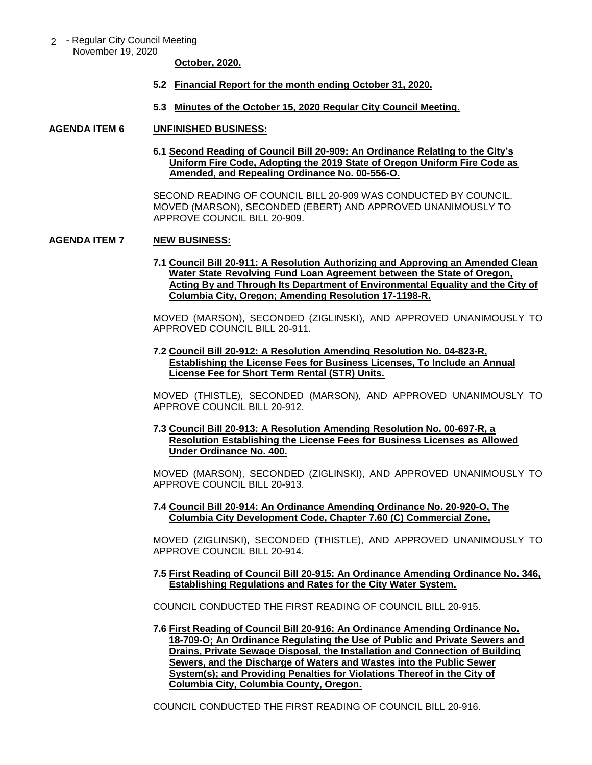2 - Regular City Council Meeting November 19, 2020

 **October, 2020.**

- **5.2 Financial Report for the month ending October 31, 2020.**
- **5.3 Minutes of the October 15, 2020 Regular City Council Meeting.**
- **AGENDA ITEM 6 UNFINISHED BUSINESS:**
	- **6.1 Second Reading of Council Bill 20-909: An Ordinance Relating to the City's Uniform Fire Code, Adopting the 2019 State of Oregon Uniform Fire Code as Amended, and Repealing Ordinance No. 00-556-O.**

SECOND READING OF COUNCIL BILL 20-909 WAS CONDUCTED BY COUNCIL. MOVED (MARSON), SECONDED (EBERT) AND APPROVED UNANIMOUSLY TO APPROVE COUNCIL BILL 20-909.

#### **AGENDA ITEM 7 NEW BUSINESS:**

**7.1 Council Bill 20-911: A Resolution Authorizing and Approving an Amended Clean Water State Revolving Fund Loan Agreement between the State of Oregon, Acting By and Through Its Department of Environmental Equality and the City of Columbia City, Oregon; Amending Resolution 17-1198-R.**

MOVED (MARSON), SECONDED (ZIGLINSKI), AND APPROVED UNANIMOUSLY TO APPROVED COUNCIL BILL 20-911.

**7.2 Council Bill 20-912: A Resolution Amending Resolution No. 04-823-R, Establishing the License Fees for Business Licenses, To Include an Annual License Fee for Short Term Rental (STR) Units.**

MOVED (THISTLE), SECONDED (MARSON), AND APPROVED UNANIMOUSLY TO APPROVE COUNCIL BILL 20-912.

**7.3 Council Bill 20-913: A Resolution Amending Resolution No. 00-697-R, a Resolution Establishing the License Fees for Business Licenses as Allowed Under Ordinance No. 400.**

MOVED (MARSON), SECONDED (ZIGLINSKI), AND APPROVED UNANIMOUSLY TO APPROVE COUNCIL BILL 20-913.

### **7.4 Council Bill 20-914: An Ordinance Amending Ordinance No. 20-920-O, The Columbia City Development Code, Chapter 7.60 (C) Commercial Zone,**

MOVED (ZIGLINSKI), SECONDED (THISTLE), AND APPROVED UNANIMOUSLY TO APPROVE COUNCIL BILL 20-914.

**7.5 First Reading of Council Bill 20-915: An Ordinance Amending Ordinance No. 346, Establishing Regulations and Rates for the City Water System.** 

COUNCIL CONDUCTED THE FIRST READING OF COUNCIL BILL 20-915.

**7.6 First Reading of Council Bill 20-916: An Ordinance Amending Ordinance No. 18-709-O; An Ordinance Regulating the Use of Public and Private Sewers and Drains, Private Sewage Disposal, the Installation and Connection of Building Sewers, and the Discharge of Waters and Wastes into the Public Sewer System(s); and Providing Penalties for Violations Thereof in the City of Columbia City, Columbia County, Oregon.**

COUNCIL CONDUCTED THE FIRST READING OF COUNCIL BILL 20-916.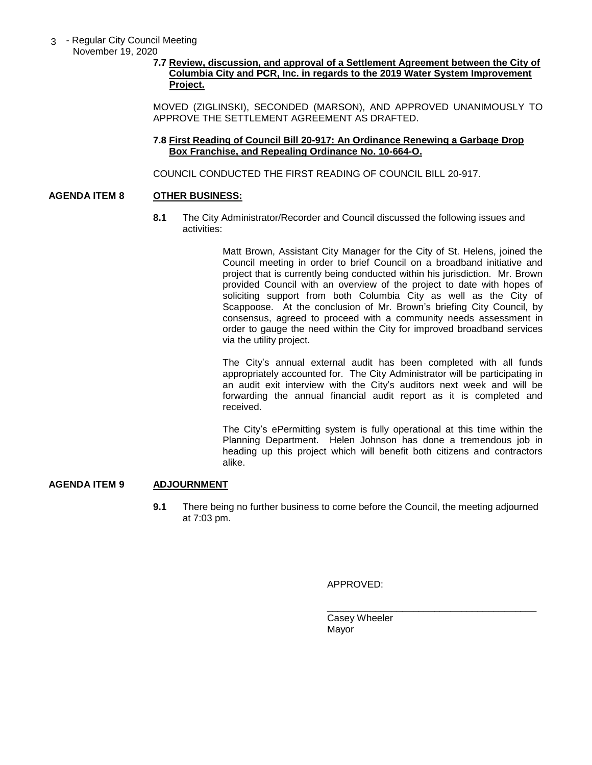- 3 Regular City Council Meeting November 19, 2020
	- **7.7 Review, discussion, and approval of a Settlement Agreement between the City of Columbia City and PCR, Inc. in regards to the 2019 Water System Improvement Project.**

MOVED (ZIGLINSKI), SECONDED (MARSON), AND APPROVED UNANIMOUSLY TO APPROVE THE SETTLEMENT AGREEMENT AS DRAFTED.

# **7.8 First Reading of Council Bill 20-917: An Ordinance Renewing a Garbage Drop Box Franchise, and Repealing Ordinance No. 10-664-O.**

COUNCIL CONDUCTED THE FIRST READING OF COUNCIL BILL 20-917.

# **AGENDA ITEM 8 OTHER BUSINESS:**

**8.1** The City Administrator/Recorder and Council discussed the following issues and activities:

> Matt Brown, Assistant City Manager for the City of St. Helens, joined the Council meeting in order to brief Council on a broadband initiative and project that is currently being conducted within his jurisdiction. Mr. Brown provided Council with an overview of the project to date with hopes of soliciting support from both Columbia City as well as the City of Scappoose. At the conclusion of Mr. Brown's briefing City Council, by consensus, agreed to proceed with a community needs assessment in order to gauge the need within the City for improved broadband services via the utility project.

> The City's annual external audit has been completed with all funds appropriately accounted for. The City Administrator will be participating in an audit exit interview with the City's auditors next week and will be forwarding the annual financial audit report as it is completed and received.

> The City's ePermitting system is fully operational at this time within the Planning Department. Helen Johnson has done a tremendous job in heading up this project which will benefit both citizens and contractors alike.

### **AGENDA ITEM 9 ADJOURNMENT**

**9.1** There being no further business to come before the Council, the meeting adjourned at 7:03 pm.

APPROVED:

Casey Wheeler Mayor

\_\_\_\_\_\_\_\_\_\_\_\_\_\_\_\_\_\_\_\_\_\_\_\_\_\_\_\_\_\_\_\_\_\_\_\_\_\_\_